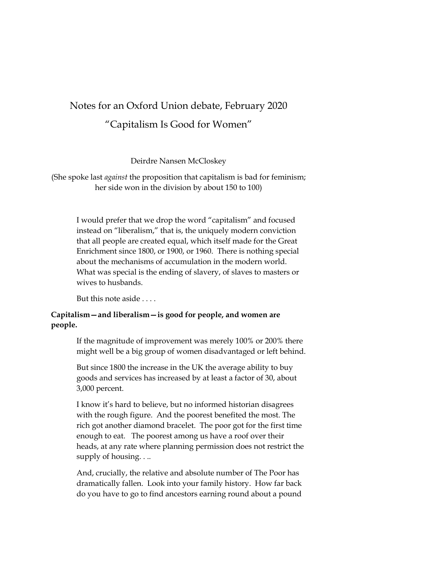## Notes for an Oxford Union debate, February 2020

# "Capitalism Is Good for Women"

Deirdre Nansen McCloskey

(She spoke last *against* the proposition that capitalism is bad for feminism; her side won in the division by about 150 to 100)

I would prefer that we drop the word "capitalism" and focused instead on "liberalism," that is, the uniquely modern conviction that all people are created equal, which itself made for the Great Enrichment since 1800, or 1900, or 1960. There is nothing special about the mechanisms of accumulation in the modern world. What was special is the ending of slavery, of slaves to masters or wives to husbands.

But this note aside . . . .

## **Capitalism—and liberalism—is good for people, and women are people.**

If the magnitude of improvement was merely 100% or 200% there might well be a big group of women disadvantaged or left behind.

But since 1800 the increase in the UK the average ability to buy goods and services has increased by at least a factor of 30, about 3,000 percent.

I know it's hard to believe, but no informed historian disagrees with the rough figure. And the poorest benefited the most. The rich got another diamond bracelet. The poor got for the first time enough to eat. The poorest among us have a roof over their heads, at any rate where planning permission does not restrict the supply of housing. . ..

And, crucially, the relative and absolute number of The Poor has dramatically fallen. Look into your family history. How far back do you have to go to find ancestors earning round about a pound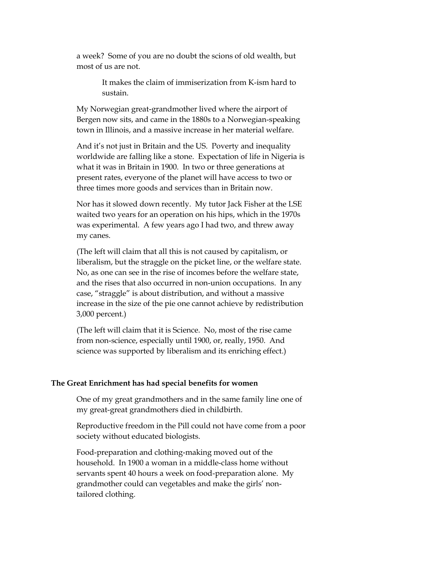a week? Some of you are no doubt the scions of old wealth, but most of us are not.

> It makes the claim of immiserization from K-ism hard to sustain.

My Norwegian great-grandmother lived where the airport of Bergen now sits, and came in the 1880s to a Norwegian-speaking town in Illinois, and a massive increase in her material welfare.

And it's not just in Britain and the US. Poverty and inequality worldwide are falling like a stone. Expectation of life in Nigeria is what it was in Britain in 1900. In two or three generations at present rates, everyone of the planet will have access to two or three times more goods and services than in Britain now.

Nor has it slowed down recently. My tutor Jack Fisher at the LSE waited two years for an operation on his hips, which in the 1970s was experimental. A few years ago I had two, and threw away my canes.

(The left will claim that all this is not caused by capitalism, or liberalism, but the straggle on the picket line, or the welfare state. No, as one can see in the rise of incomes before the welfare state, and the rises that also occurred in non-union occupations. In any case, "straggle" is about distribution, and without a massive increase in the size of the pie one cannot achieve by redistribution 3,000 percent.)

(The left will claim that it is Science. No, most of the rise came from non-science, especially until 1900, or, really, 1950. And science was supported by liberalism and its enriching effect.)

#### **The Great Enrichment has had special benefits for women**

One of my great grandmothers and in the same family line one of my great-great grandmothers died in childbirth.

Reproductive freedom in the Pill could not have come from a poor society without educated biologists.

Food-preparation and clothing-making moved out of the household. In 1900 a woman in a middle-class home without servants spent 40 hours a week on food-preparation alone. My grandmother could can vegetables and make the girls' nontailored clothing.